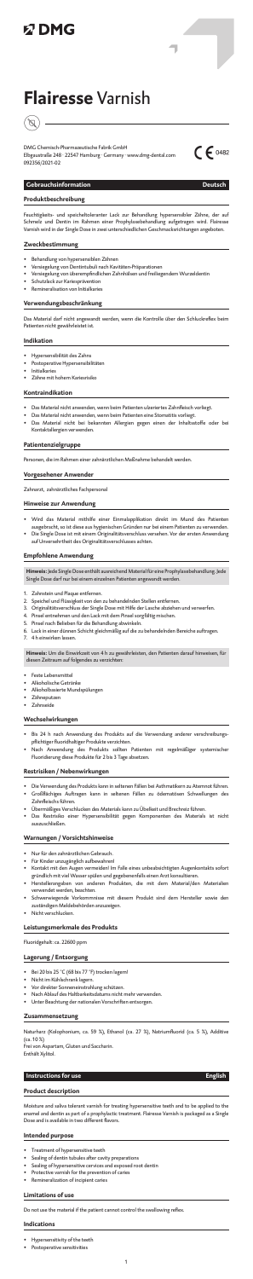# **以DMG**

# **Flairesse** Varnish



DMG Chemisch-Pharmazeutische Fabrik GmbH Elbgaustraße 248 · 22547 Hamburg · Germany · www.dmg-dental.com 092356/2021-02



٦

### **Gebrauchsinformation Deutsch**

## **Produktbeschreibung**

ichtigkeits- und speicheltoleranter Lack zur Behandlung hypersensibler Zähne, der auf Schmelz und Dentin im Rahmen einer Prophylaxebehandlung aufgetragen wird. Flairesse Varnish wird in der Single Dose in zwei unterschiedlichen Geschmacksrichtungen angeboten.

## **Zweckbestimmung**

- Behandlung von hypersensiblen Zähnen
- Versiegelung von Dentintubuli nach Kavitäten-Präparationen
- Versiegelung von überempfindlichen Zahnhälsen und freiliegendem Wurzeldentin
- Schutzlack zur Kariesprävention
- Remineralisation von Initialkaries

## **Verwendungsbeschränkung**

Das Material darf nicht angewandt werden, wenn die Kontrolle über den Schluckreflex beim Patienten nicht gewährleistet ist.

#### **Indikation**

- Hypersensibilität des Zahns
- Postoperative Hypersensibilitäten
- Initialkaries
- Zähne mit hohem Kariesrisiko

#### **Kontraindikation**

- Das Material nicht anwenden, wenn beim Patienten ulzeriertes Zahnfleisch vorliegt.
- Das Material nicht anwenden, wenn beim Patienten eine Stomatitis vorliegt.
- Das Material nicht bei bekannten Allergien gegen einen der Inhaltsstoffe oder be Kontaktallergien verwenden.

## **Patientenzielgruppe**

Personen, die im Rahmen einer zahnärztlichen Maßnahme behandelt werden.

#### **Vorgesehener Anwender**

Zahnarzt, zahnärztliches Fachpersonal

#### **Hinweise zur Anwendung**

- Wird das Material mithilfe einer Einmalapplikation direkt im Mund des Patienten ausgebracht, so ist diese aus hygienischen Gründen nur bei einem Patienten zu verwenden. • Die Single Dose ist mit einem Originalitätsverschluss versehen. Vor der ersten Anwendung
- auf Unversehrtheit des Originalitätsverschlusses achten.

#### **Empfohlene Anwendung**

**Hinweis:** Jede Single Dose enthält ausreichend Material für eine Prophylaxebehandlung. Jede Single Dose darf nur bei einem einzelnen Patienten angewandt werden.

- 1. Zahnstein und Plaque entfernen.<br>2. Speichel und Flüssigkeit von den
- Speichel und Flüssigkeit von den zu behandelnden Stellen entfernen
- 3. Originalitätsverschluss der Single Dose mit Hilfe der Lasche abziehen und verwerfen.
- 4. Pinsel entnehmen und den Lack mit dem Pinsel sorgfältig mischen.
- 5. Pinsel nach Belieben für die Behandlung abwinkeln.
- 6. Lack in einer dünnen Schicht gleichmäßig auf die zu behandelnden Bereiche auftragen.
- 4 h einwirken lassen.

**Hinweis:** Um die Einwirkzeit von 4 h zu gewährleisten, den Patienten darauf hinweisen, für<br>diesen Zeitraum auf folgendes zu verzichten:

- Hypersensitivity of the teeth
- Postoperative sensitivities
- Feste Lebensmittel
- Alkoholische Geträn
- Alkoholbasierte Mundspülungen
- Zähneputzen • Zahnseide

## **Wechselwirkungen**

- Bis 24 h nach Anwendung des Produkts auf die Verwendung anderer verschreibungspflichtiger fluoridhaltiger Produkte verzichten.
- Nach Anwendung des Produkts sollten Patienten mit regelmäßiger systemischer Fluoridierung diese Produkte für 2 bis 3 Tage absetzen.

#### **Restrisiken / Nebenwirkungen**

- Die Verwendung des Produkts kann in seltenen Fällen bei Asthmatikern zu Atemnot führen. • Großflächiges Auftragen kann in seltenen Fällen zu ödematösen Schwellungen des Zahnfleischs führen.
- Übermäßiges Verschlucken des Materials kann zu Übelkeit und Brechreiz führen.
- Das Restrisiko einer Hypersensibilität gegen Komponenten des Materials ist nicht auszuschließen.

#### **Warnungen / Vorsichtshinweise**

- Nur für den zahnärztlichen Gebrauch.
- Für Kinder unzugänglich aufbewahren!
- Kontakt mit den Augen vermeiden! Im Falle eines unbeabsichtigten Augenkontakts sofort gründlich mit viel Wasser spülen und gegebenenfalls einen Arzt konsultieren.
- Herstellerangaben von anderen Produkten, die mit dem Material/den Materialien verwendet werden, beachten.
- Schwerwiegende Vorkommnisse mit diesem Produkt sind dem Hersteller sowie den zuständigen Meldebehörden anzuzeige
- Nicht verschlucken.

#### **Leistungsmerkmale des Produkts**

Fluoridgehalt: ca. 22600 ppm

### **Lagerung / Entsorgung**

- Bei 20 bis 25 °C (68 bis 77 °F) trocken lagern!
- Nicht im Kühlschrank lagern.
- Vor direkter Sonneneinstrahlung schützen.
- Nach Ablauf des Haltbarkeitsdatums nicht mehr verwenden.
- Unter Beachtung der nationalen Vorschriften entsorgen.

#### **Zusammensetzung**

Naturharz (Kolophonium, ca. 59 %), Ethanol (ca. 27 %), Natriumfluorid (ca. 5 %), Additive (ca. 10 %)

Frei von Aspartam, Gluten und Saccharin. Enthält Xylitol.

## **Instructions for use English**

#### **Product description**

Moisture and saliva tolerant varnish for treating hypersensitive teeth and to be applied to the enamel and dentin as part of a prophylactic treatm Dose and is available in two different flavors.

## **Intended purpose**

- Treatment of hypersensitive teeth
- Sealing of dentin tubules after cavity preparations
- Sealing of hypersensitive cervices and exposed root dentin
- Protective varnish for the prevention of caries
- Remineralization of incipient caries

#### **Limitations of use**

Do not use the material if the patient cannot control the swallowing reflex.

#### **Indications**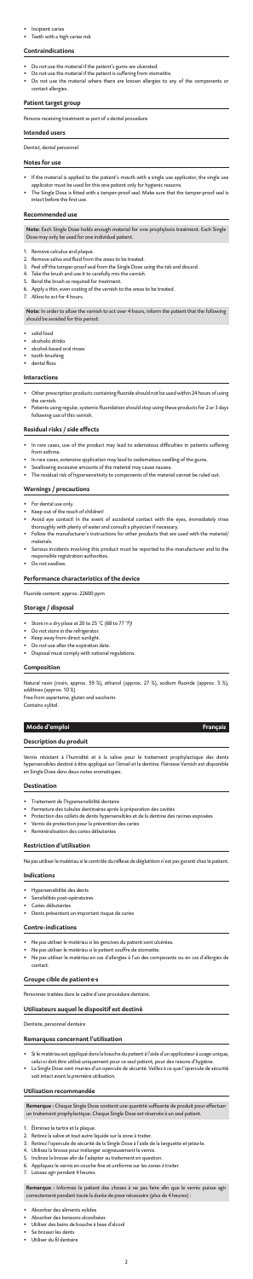#### • Incipient caries

• Teeth with a high caries risk

#### **Contraindications**

- Do not use the material if the patient's gums are ulcerated.
- Do not use the material if the patient is suffering from stomatitis.
- Do not use the material where there are known allergies to any of the components or contact allergies.

## **Patient target group**

Persons receiving treatment as part of a dental procedure.

## **Intended users**

Dentist, dental personnel

#### **Notes for use**

- If the material is applied to the patient's mouth with a single use applicator, the single use applicator must be used for this one patient only for hygienic reasons.
- The Single Dose is fitted with a tamper-proof seal. Make sure that the tamper-proof seal is intact before the first use.

#### **Recommended use**

**Note:** Each Single Dose holds enough material for one prophylaxis treatment. Each Single Dose may only be used for one individual patient.

- solid food
- alcoholic drinks
- alcohol-based oral rinses
- tooth brushing • dental floss
- 
- **Interactions**
- Other prescription products containing fluoride should not be used within 24 hours of using the varnish.
- Patients using regular, systemic fluoridation should stop using these products for 2 or 3 days following use of this varnish.
- 1. Remove calculus and plaque.
- 2. Remove saliva and fluid from the areas to be treated.
- 3. Peel off the tamper-proof seal from the Single Dose using the tab and discard.
- 4. Take the brush and use it to carefully mix the varnish.
- 5. Bend the brush as required for treatment.<br>6 Apply a thin even coating of the varnish to
- Apply a thin, even coating of the varnish to the areas to be treated.
- 7. Allow to act for 4 hours.

- For dental use only.
- Keep out of the reach of children!
- Avoid eye contact! In the event of accidental contact with the eyes, immediately rinse thoroughly with plenty of water and consult a physician if necessary.
- Follow the manufacturer's instructions for other products that are used with the material/ materials.
- Serious incidents involving this product must be reported to the manufacturer and to the responsible registration authorities.
- Do not swallow.

**Note:** In order to allow the varnish to act over 4 hours, inform the patient that the following should be avoided for this period:

#### **Residual risks / side effects**

- In rare cases, use of the product may lead to edematous difficulties in patients suffering from asthma.
- In rare cases, extensive application may lead to oedematous swelling of the gums.<br>Swallowing excessive amounts of the material may cause nausea.
- $\frac{1}{10}$  interpretial may cause nausea.
- The residual risk of hypersensitivity to components of the material cannot be ruled out.

#### **Warnings / precautions**

#### **Performance characteristics of the device**

Fluoride content: approx. 22600 ppm

#### **Storage / disposal**

- Absorber des aliments solides
- Absorber des boissons alcoolisées
- Utiliser des bains de bouche à base d'alcool
- Se brosser les dents
- Utiliser du fil denta
- Store in a dry place at 20 to 25 °C (68 to 77 °F)!
- **Do not store in the refrigerator.**
- Keep away from direct sunlight.
- Do not use after the expiration date
- Disposal must comply with national regulations.

## **Composition**

Natural resin (rosin, approx. 59 %), ethanol (approx. 27 %), sodium fluoride (approx. 5 %), additives (approx. 10 %)

Free from aspartame, gluten and saccharin. Contains xylitol.

### **Mode d'emploi Français**

## **Description du produit**

Vernis résistant à l'humidité et à la salive pour le traitement prophylactique des dents hypersensibles destiné à être appliqué sur l'émail et la dentine. Flairesse Varnish est disponible en Single Dose dans deux notes aromatiques.

#### **Destination**

- Traitement de l'hypersensibilité dentaire
- Fermeture des tubules dentinaires après la préparation des cavités
- Protection des collets de dents hypersensibles et de la dentine des racines exposées
- Vernis de protection pour la prévention des caries
- Reminéralisation des caries débutantes

#### **Restriction d'utilisation**

Ne pas utiliser le matériau si le contrôle du réflexe de déglutition n'est pas garanti chez le patient.

#### **Indications**

- Hypersensibilité des dents
- Sensibilités post-opératoires
- Caries débutantes
- Dents présentant un important risque de caries

#### **Contre-indications**

- Ne pas utiliser le matériau si les gencives du patient sont ulcérées.
- Ne pas utiliser le matériau si le patient souffre de stomatite.
- Ne pas utiliser le matériau en cas d'allergies à l'un des composants ou en cas d'allergies de contact.

### **Groupe cible de patient·e·s**

Personnes traitées dans le cadre d'une procédure dentaire.

### **Utilisateurs auquel le dispositif est destiné**

Dentiste, personnel dentaire

#### **Remarques concernant l'utilisation**

- Si le matériau est appliqué dans la bouche du patient à l'aide d'un applicateur à usage unique, celui-ci doit être utilisé uniquement pour ce seul patient, pour des raisons d'hygiène.
- La Single Dose sont munies d'un opercule de sécurité. Veillez à ce que l'opercule de sécurité soit intact avant la première utilisation.

#### **Utilisation recommandée**

**Remarque :** Chaque Single Dose contient une quantité suffisante de produit pour effectuer un traitement prophylactique. Chaque Single Dose est réservée à un seul patient.

- 1. Éliminez le tartre et la plaque.<br>2. Retirez la salive et tout autre
- Retirez la salive et tout autre liquide sur la zone à traiter.
- 3. Retirez l'opercule de sécurité de la Single Dose à l'aide de la languette et jetez-le.
- 4. Utilisez la brosse pour mélanger soigneusement le vernis.
- 5. Inclinez la brosse afin de l'adapter au traitement en question.
- 6. Appliquez le vernis en couche fine et uniforme sur les zones à traiter.
- Laissez agir pendant 4 heures.

**Remarque :** Informez le patient des choses à ne pas faire afin que le vernis puisse agir<br>correctement pendant toute la durée de pose nécessaire (plus de 4 heures) :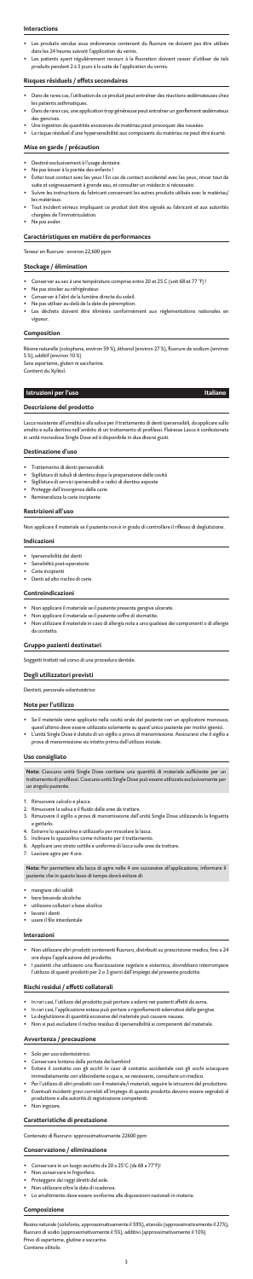#### **Interactions**

- Les produits vendus sous ordonnance contenant du fluorure ne doivent pas être utilisés dans les 24 heures suivant l'application du vernis.
- Les patients ayant régulièrement recours à la fluoration doivent cesser d'utiliser de tels produits pendant 2 à 3 jours à la suite de l'application du vernis.

#### **Risques résiduels / effets secondaires**

- Destiné exclusivement à l'usage dentaire.
- Ne pas laisser à la portée des enfants !
- Éviter tout contact avec les yeux ! En cas de contact accidentel avec les yeux, rincer tout de suite et soigneusement à grande eau, et consulter un médecin si nécessaire.
- Suivre les instructions du fabricant concernant les autres produits utilisés avec le matériau/ les matériaux.
- Tout incident sérieux impliquant ce produit doit être signalé au fabricant et aux autorités chargées de l'immatriculation.
- Ne pas avaler.
- Dans de rares cas, l'utilisation de ce produit peut entraîner des réactions œdémateuses chez les patients asthmatiques.
- Dans de rares cas, une application trop généreuse peut entraîner un gonflement œdém des gencives.
- Une ingestion de quantités excessives de matériau peut provoquer des nau
- Le risque résiduel d'une hypersensibilité aux composants du matériau ne peut être écarté.

#### **Mise en garde / précaution**

- Trattamento di denti ipersensibili
- Sigillatura di tubuli di dentina dopo la preparazione delle cavità
- Sigillatura di cervici ipersensibili e radici di dentina esposte
- Protegge dall'insorgenza della carie
- Remineralizza la carie incipiente

### **Caractéristiques en matière de performances**

Teneur en fluorure : environ 22,600 ppm

## **Stockage / élimination**

- Conserver au sec à une température comprise entre 20 et 25 C (soit 68 et 77 °F) !
- Ne pas stocker au réfrigérateur.
- Conserver à l'abri de la lumière directe du soleil.
- Ne pas utiliser au-delà de la date de péremption.<br>Les déchets doivent être éliminés conformé échets doivent être éliminés conformément aux réglementations nationales vigueur.

## **Composition**

Résine naturelle (colophane, environ 59 %), éthanol (environ 27 %), fluorure de sodium (environ 5 %), additif (environ 10 %)

Sans aspartame, gluten ni saccharine.

Contient du Xylitol.

## **Istruzioni per l'uso Italiano**

## **Descrizione del prodotto**

Lacca resistente all'umidità e alla saliva per il trattamento di denti ipersensibili, da applicare sullo smalto e sulla dentina nell'ambito di un trattamento di profilassi. Flairesse Lacca è confezionata in unità monodose Single Dose ed è disponibile in due diversi gusti.

#### **Destinazione d'uso**

#### **Restrizioni all'uso**

Non applicare il materiale se il paziente non è in grado di controllare il riflesso di deglutizione.

#### **Indicazioni**

- Ipersensibilità dei denti
- Sensibilità post-operatorie
- Carie incipienti
- Denti ad alto rischio di carie

#### **Controindicazioni**

- Solo per uso odontoiatrico.
- Conservare lontano dalla portata dei bambini!
- Evitare il contatto con gli occhi! In caso di contatto accidentale con gli occhi sciacquare immediatamente con abbondante acqua e, se necessario, consultare un medico.
- Per l'utilizzo di altri prodotti con il materiale/i materiali, seguire le istruzioni del produttore.
- Eventuali incidenti gravi correlati all'impiego di questo prodotto devono essere segnalati al produttore e alle autorità di registrazione competenti.
- Non ingoiare.
- Non applicare il materiale se il paziente presenta gengive ulcerate.
- Non applicare il materiale se il paziente soffre di stomatite.
- Non utilizzare il materiale in caso di allergia nota a uno qualsiasi dei componenti o di allergie da contatto.

## **Gruppo pazienti destinatari**

Soggetti trattati nel corso di una procedura dentale.

## **Degli utilizzatori previsti**

Dentisti, personale odontoiatrico

#### **Note per l'utilizzo**

- Se il materiale viene applicato nella cavità orale del paziente con un applicatore monouso, quest'ultimo deve essere utilizzato solamente su quest'unico paziente per motivi igienici.
- L'unità Single Dose è dotata di un sigillo a prova di manomissione. Assicurarsi che il sigillo a prova di manomissione sia intatto prima dell'utilizzo iniziale.

#### **Uso consigliato**

**Nota:** Ciascuna unità Single Dose contiene una quantità di materiale sufficiente per un trattamento di profilassi. Ciascuna unità Single Dose può essere utilizzata esclusivamente per un singolo paziente.

- 1. Rimuovere calcolo e placca.
- 2. Rimuovere la saliva e il fluido dalle aree da trattare. 3. Rimuovere il sigillo a prova di manomissione dall'unità Single Dose utilizzando la linguetta e gettarlo.
- 4. Estrarre lo spazzolino e utilizzarlo per miscelare la lacca.

- 5. Inclinare lo spazzolino come richiesto per il trattamento.
- 6. Applicare uno strato sottile e uniforme di lacca sulle aree da trattare.
- 7. Lasciare agire per 4 ore.

**Nota:** Per permettere alla lacca di agire nelle 4 ore successive all'applicazione, informare il paziente che in questo lasso di tempo dovrà evitare di:

- mangiare cibi solidi
- bere bevande alcoliche
- utilizzare collutori a base alcolica
- lavarsi i denti
- usare il filo interdentale

#### **Interazioni**

- Non utilizzare altri prodotti contenenti fluoruro, distribuiti su prescrizione medica, fino a 24 ore dopo l'applicazione del prodotto.
- I pazienti che utilizzano una fluorizzazione regolare e sistemica, dovrebbero interrompere l'utilizzo di questi prodotti per 2 o 3 giorni dall'impiego del presente prodotto.

### **Rischi residui / effetti collaterali**

- In rari casi, l'utilizzo del prodotto può portare a edemi nei pazienti affetti da asma.
- In rari casi, l'applicazione estesa può portare a rigonfiamenti edematosi delle gengive.
- La deglutizione di quantità eccessive del materiale può causare nausea.
- Non si può escludere il rischio residuo di ipersensibilità ai componenti del materiale.

## **Avvertenza / precauzione**

#### **Caratteristiche di prestazione**

Contenuto di fluoruro: approssimativamente 22600 ppm

#### **Conservazione / eliminazione**

- Conservare in un luogo asciutto da 20 a 25°C (da 68 a 77°F)!
- Non conservare in frigorifero.
- Proteggere dai raggi diretti del sole.
- Non utilizzare oltre la data di scadenza.
- Lo smaltimento deve essere conforme alle disposizioni nazionali in materia.

#### **Composizione**

Resina naturale (colofonia, approssimativamente il 59%), etanolo (approssimativamente il 27%), fluoruro di sodio (approssimativamente il 5%), additivi (approssimativamente il 10%) Privo di aspartame, glutine e saccarina. Contiene xilitolo.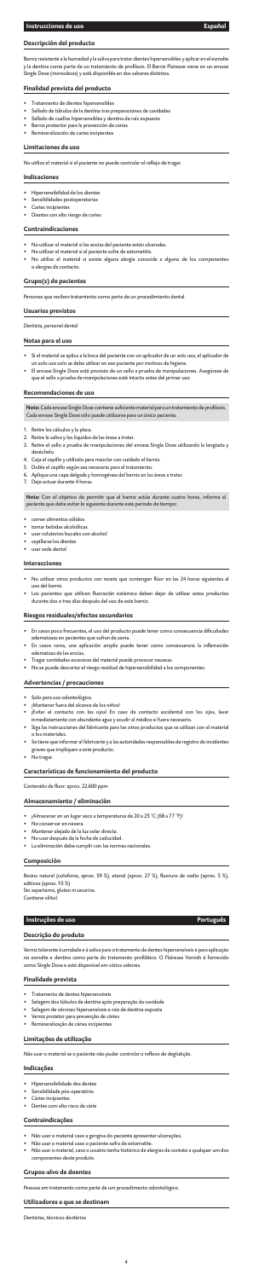## **Descripción del producto**

Barniz resistente a la humedad y la saliva para tratar dientes hipersensibles y aplicar en el esmalte<br>y la dentina como parte de un tratamiento de profilaxis. El Barniz Flairesse viene en un envase y la dentina como parte de un tratamie Single Dose (monodosis) y está disponible en dos sabores distintos.

### **Finalidad prevista del producto**

- Tratamiento de dientes hipersensibles
- Sellado de túbulos de la dentina tras preparaciones de cavidades
- Sellado de cuellos hipersensibles y dentina de raíz expuesta
- Barniz protector para la prevención de caries • Remineralización de caries incipientes

#### **Limitaciones de uso**

No utilice el material si el paciente no puede controlar el reflejo de tragar.

### **Indicaciones**

- Hipersensibilidad de los dientes
- Sensibilidades postoperatorias
- Caries incipientes
- Dientes con alto riesgo de caries

#### **Contraindicaciones**

- No utilizar el material si las encías del paciente están ulceradas.
- No utilizar el material si el paciente sufre de estomatitis.
- No utilice el material si existe alguna alergia conocida a alguno de los componentes o alergias de contacto.

#### **Grupo(s) de pacientes**

Personas que reciben tratamiento como parte de un procedimiento dental.

#### **Usuarios previstos**

Dentista, personal dental

#### **Notas para el uso**

- Si el material se aplica a la boca del paciente con un aplicador de un solo uso, el aplicador de un solo uso solo se debe utilizar en ese paciente por motivos de higiene.
- El envase Single Dose está provisto de un sello a prueba de manipulaciones. Asegúrese de que el sello a prueba de manipulaciones esté intacto antes del primer uso.

#### **Recomendaciones de uso**

**Nota:** Cada envase Single Dose contiene suficiente material para un tratamiento de profilaxis.<br>Cada envase Single Dose sólo puede utilizarse para un único paciente.

- 1. Retire los cálculos y la placa.
- 2. Retire la saliva y los líquidos de las áreas a tratar.
- 3. Retire el sello a prueba de manipulaciones del envase Single Dose utilizando la lengüeta y deséchelo.
- 4. Coja el cepillo y utilícelo para mezclar con cuidado el barniz.
- 5. Doble el cepillo según sea necesario para el tratamiento.
- 6. Aplique una capa delgada y homogénea del barniz en las áreas a tratar.
- 7. Deje actuar durante 4 horas.

**Nota:** Con el objetivo de permitir que el barniz actúe durante cuatro horas, informe al paciente que debe evitar lo siguiente durante este periodo de tiempo:

- comer alimentos sólidos
- tomar bebidas alcohólicas
- usar colutorios bucales con alcohol
- cepillarse los dientes
- usar seda dental

#### **Interacciones**

- No utilizar otros productos con receta que contengan flúor en las 24 horas siguientes al uso del barniz.
- Los pacientes que utilicen fluoración sistémica deben dejar de utilizar estos productos durante dos o tres días después del uso de este barniz.

### **Riesgos residuales/efectos secundarios**

- En casos poco frecuentes, el uso del producto puede tener como consecuencia dificultades edematosas en pacientes que sufran de asma.
- En casos raros, una aplicación amplia puede tener como consecuencia la inflamación edematosa de las encías.
- Tragar cantidades excesivas del material puede provocar nauseas.
- No se puede descartar el riesgo residual de hipersensibilidad a los componentes.

## **Advertencias / precauciones**

- Solo para uso odontológico.
- ¡Mantener fuera del alcance de los niños!
- ¡Evitar el contacto con los ojos! En caso de contacto accidental con los ojos, lavar inmediatamente con abundante agua y acudir al médico si fuera necesario.
- Siga las instrucciones del fabricante para los otros productos que se utilizan con el material o los materiales.
- Se tiene que informar al fabricante y a las autoridades responsables de registro de incidentes graves que impliquen a este producto.
- No tragar.

### **Características de funcionamiento del producto**

Contenido de fluor: aprox. 22,600 ppm

## **Almacenamiento / eliminación**

- ¡Almacenar en un lugar seco a temperaturas de 20 a 25 °C (68 a 77 °F)!
- No conservar en nevera.
- Mantener alejado de la luz solar directa.
- No usar después de la fecha de caducidad.
- La eliminación debe cumplir con las normas nacionales.

### **Composición**

Resina natural (colofonia, aprox. 59 %), etanol (aprox. 27 %), fluoruro de sodio (aprox. 5 %), aditivos (aprox. 10 %) Sin aspartamo, gluten ni sacarina. Contiene xilitol.

### **Instruções de uso Português**

## **Descrição do produto**

Verniz tolerante à umidade e à saliva para o tratamento de dentes hipersensíveis e para aplicação no esmalte e dentina como parte do tratamento profilático. O Flairesse Varnish é fornecido como Single Dose e está disponível em vários sabores.

### **Finalidade prevista**

- Tratamento de dentes hipersensíveis
- Selagem dos túbulos de dentina após preparação da cavidade
- Selagem de cérvices hipersensíveis e raiz de dentina exposta
- Verniz protetor para prevenção de cáries
- Remineralização de cáries incipientes

#### **Limitações de utilização**

Não usar o material se o paciente não puder controlar o reflexo de deglutição.

## **Indicações**

- Hipersensibilidade dos dentes
- Sensibilidade pós-operatória
- Cáries incipientes
- Dentes com alto risco de cárie

### **Contraindicações**

- Não usar o material caso a gengiva do paciente apresentar ulcerações.
- Não usar o material caso o paciente sofra de estomatite.
- Não usar o material, caso o usuário tenha histórico de alergias de contato a qualquer um dos componentes deste produto.

#### **Grupos-alvo de doentes**

Pessoas em tratamento como parte de um procedimento odontológico.

### **Utilizadores a que se destinam**

Dentistas, técnicos dentários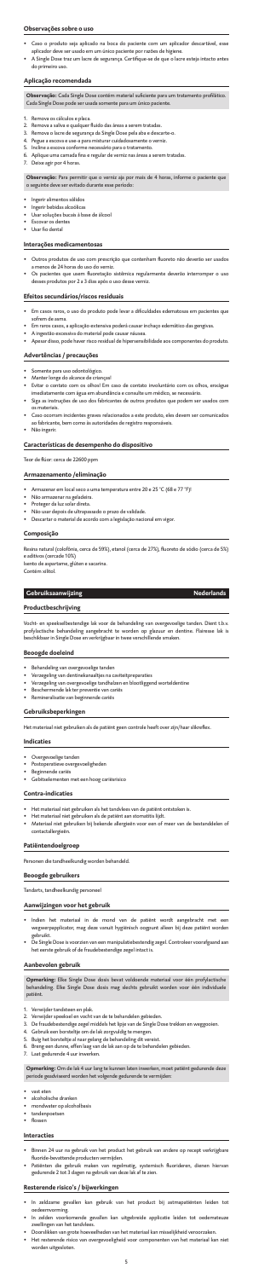#### **Observações sobre o uso**

- Caso o produto seja aplicado na boca do paciente com um aplicador descartável, es
- aplicador deve ser usado em um único paciente por razões de higiene. • A Single Dose traz um lacre de segurança. Certifique-se de que o lacre esteja intacto antes do primeiro uso.

- 1. Remova os cálculos e placa.
- 2. Remova a saliva e qualquer fluido das áreas a serem tratadas.
- 3. Remova o lacre de segurança da Single Dose pela aba e descarte
- 4. Pegue a escova e use-a para misturar cuidadosamente o verniz.
- 5. Incline a escova conforme necessário para o tratamento.<br>6. Anlique uma camada fina e regular de verniz nas áreas a s
- Aplique uma camada fina e regular de verniz nas áreas a serem tratada:

## **Aplicação recomendada**

**Observação:** Cada Single Dose contém material suficiente para um tratamento profilático.<br>Cada Single Dose pode ser usada somente para um único paciente.

- Ingerir alimentos sólidos
- Ingerir bebidas alcoólicas
- Usar soluções bucais à base de álcool
- Escovar os dentes
- Usar fio dental

- Outros produtos de uso com prescrição que contenham fluoreto não deverão ser us a menos de 24 horas do uso do verniz.
- Os pacientes que usem fluoretação sistêmica regularmente deverão interromper o uso desses produtos por 2 a 3 dias após o uso desse verniz.

7. Deixe agir por 4 horas.

- Em casos raros, o uso do produto pode levar a dificuldades edematosas em pacientes qu sofrem de asma.
- Em raros casos, a aplicação extensiva poderá causar inchaço edemático das gengivas.
- .<br><sub>V</sub>a do material pode causar náusea
- Apesar disso, pode haver risco residual de hipersensibilidade aos componentes do produto.

- Somente para uso odontológico.
- Manter longe do alcance de crianças!
- Evitar o contato com os olhos! Em caso de contato involuntário com os olhos, enxágue imediatamente com água em abundância e consulte um médico, se necessário.
- Siga as instruções de uso dos fabricantes de outros produtos que podem ser usados com os materiais.
- Caso ocorram incidentes graves relacionados a este produto, eles devem ser comunicados ao fabricante, bem como às autoridades de registro responsáveis.
- Não ingerir.

**Observação:** Para permitir que o verniz aja por mais de 4 horas, informe o paciente que o seguinte deve ser evitado durante esse período:

## **Interações medicamentosas**

esina natural (colofônia, cerca de 59%), etanol (cerca de 27%), fluoreto de sódio (cerca de 5%) e aditivos (cercade 10%)

## **Efeitos secundários/riscos residuais**

## **Advertências / precauções**

- Het materiaal niet gebruiken als het tandvlees van de patiënt ontstoken is.
- Het materiaal niet gebruiken als de patiënt aan stomatitis lijdt.
- Materiaal niet gebruiken bij bekende allergieën voor een of meer van de bestanddelen of contactallergieë
	-

### **Características de desempenho do dispositivo**

Teor de flúor: cerca de 22600 ppm

#### **Armazenamento /eliminação**

- Armazenar em local seco a uma temperatura entre 20 e 25 °C (68 e 77 °F)!
- Não armazenar na geladeira.
- Proteger da luz solar direta.
- Não usar depois de ultrapassado o prazo de validade.
- Descartar o material de acordo com a legislação nacional em vigor.

#### **Composição**

Isento de aspartame, glúten e sacarina. Contém xilitol.

#### **Gebruiksaanwijzing Nederlands Nederlands**

## **Productbeschrijving**

Vocht- en speekselbestendige lak voor de behandeling van overgevoelige tanden. Dient t.b.v. profylactische behandeling aangebracht te worden op glazuur en dentine. Flairesse lak is beschikbaar in Single Dose en verkrijgbaar in twee verschillende smaken.

#### **Beoogde doeleind**

- Behandeling van overgevoelige tanden
- Verzegeling van dentinekanaaltjes na caviteitpreparaties
- Verzegeling van overgevoelige tandhalzen en blootliggend worteldentine
- Beschermende lak ter preventie van cariës
- Remineralisatie van beginnende cariës

### **Gebruiksbeperkingen**

Het materiaal niet gebruiken als de patiënt geen controle heeft over zijn/haar slikreflex.

#### **Indicaties**

- Overgevoelige tanden
- Postoperatieve overgevoeligheden
- Beginnende cariës
- Gebitselementen met een hoog cariësrisico

### **Contra-indicaties**

### **Patiëntendoelgroep**

Personen die tandheelkundig worden behandeld.

#### **Beoogde gebruikers**

Tandarts, tandheelkundig personeel

#### **Aanwijzingen voor het gebruik**

- Indien het materiaal in de mond van de patiënt wordt aangebracht met een wegwerpapplicator, mag deze vanuit hygiënisch oogpunt alleen bij deze patiënt worden gebruikt.
- De Single Dose is voorzien van een manipulatiebestendig zegel. Controleer voorafgaand aan het eerste gebruik of de fraudebestendige zegel intact is.

#### **Aanbevolen gebruik**

**Opmerking:** Elke Single Dose dosis bevat voldoende materiaal voor één profylactische behandeling. Elke Single Dose dosis mag slechts gebruikt worden voor één individuele patiënt.

- 1. Verwijder tandsteen en plak.
- 2. Verwijder speeksel en vocht van de te behandelen gebieden.
- 3. De fraudebestendige zegel middels het lipje van de Single Dose trekken en weggooien.
- 4. Gebruik een borsteltje om de lak zorgvuldig te mengen.
- 5. Buig het borsteltje al naar gelang de behandeling dit vereist.
- 6. Breng een dunne, effen laag van de lak aan op de te behandelen gebieden.
- 7. Laat gedurende 4 uur inwerken.

**Opmerking:** Om de lak 4 uur lang te kunnen laten inwerken, moet patiënt gedurende deze periode geadviseerd worden het volgende gedurende te vermijden:

- vast eten
- alcoholische dranken
- mondwater op alcoholbasis
- tandenpoetsen
- flossen

#### **Interacties**

- Binnen 24 uur na gebruik van het product het gebruik van andere op recept verkrijgbare fluoride-bevattende producten vermijden.
- Patiënten die gebruik maken van regelmatig, systemisch fluorideren, dienen hiervan gedurende 2 tot 3 dagen na gebruik van deze lak af te zien.

#### **Resterende risico's / bijwerkingen**

- In zeldzame gevallen kan gebruik van het product bij astmapatiënten leiden tot
- oedeemvorming. In zelden voorkomende gevallen kan uitgebreide applicatie leiden tot oedemateuze zwellingen van het tandvlees.
- Doorslikken van grote hoeveelheden van het materiaal kan misselijkheid veroorzaken.
- Het resterende risico van overgevoeligheid voor componenten van het materiaal kan niet worden uitgesloten.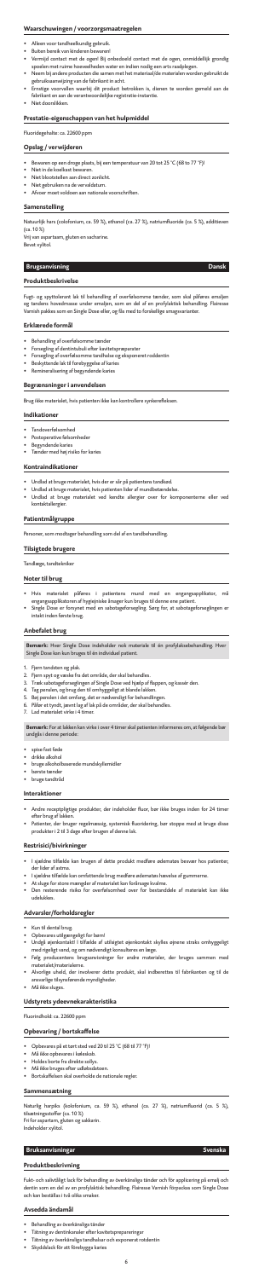## **Waarschuwingen / voorzorgsmaatregelen**

- Alleen voor tandheelkundig gebruik.
- Buiten bereik van kinderen bewaren!
- Vermijd contact met de ogen! Bij onbedoeld contact met de ogen, onmiddellijk grondig spoelen met ruime hoeveelheden water en indien nodig een arts raadplegen.
- Neem bij andere producten die samen met het materiaal/de materialen worden gebruikt de gebruiksaanwijzing van de fabrikant in acht.
- Ernstige voorvallen waarbij dit product betrokken is, dienen te worden gemeld aan de fabrikant en aan de verantwoordelijke registratie-instantie. • Niet doorslikken.

#### **Prestatie-eigenschappen van het hulpmiddel**

Fluoridegehalte: ca. 22600 ppm

#### **Opslag / verwijderen**

- Bewaren op een droge plaats, bij een temperatuur van 20 tot 25 °C (68 to 77 °F)!
- Niet in de koelkast bewaren.
- Niet blootstellen aan direct zonlicht.
- Niet gebruiken na de vervaldatum. • Afvoer moet voldoen aan nationale voorschriften.

#### **Samenstelling**

- Undlad at bruge materialet, hvis der er sår på patientens tandkød.
- Undlad at bruge materialet, hvis patienten lider af mundbetændelse.
- Undlad at bruge materialet ved kendte allergier over for komponenterne eller ved .<br>kontaktallergier.

Natuurlijk hars (colofonium, ca. 59 %), ethanol (ca. 27 %), natriumfluoride (ca. 5 %), additieven (ca. 10 %)

Vrij van aspartaam, gluten en sacharine. Bevat xylitol.

## **Brugsanvisning Dansk Dansk Dansk**

#### **Produktbeskrivelse**

- Hvis materialet påføres i patientens mund med en engangsapplikator, må engangsapplikatoren af hygiejniske årsager kun bruges til denne ene patient.
- Single Dose er forsynet med en sabotageforsegling. Sørg for, at sabotageforseglingen er ntakt inden første brug.

Fugt- og spyttolerant lak til behandling af overfølsomme tænder, som skal påføres emaljen og tandens hovedmasse under emaljen, som en del af en profylaktisk behandling. Flairesse Varnish pakkes som en Single Dose eller, og fås med to forskellige smagsvarianter.

#### **Erklærede formål**

- Behandling af overfølsomme tænder
- Forsegling af dentintubuli efter kavitetspræparater
- Forsegling af overfølsomme tandhalse og eksponeret roddentin
- Beskyttende lak til forebyggelse af karies
- Remineralisering af begyndende karies

- spise fast fød
- drikke alkohol
- bruge alkoholbaserede mundskyllemidler • børste tænder
- bruge tandtråd
- 

#### **Begrænsninger i anvendelsen**

Brug ikke materialet, hvis patienten ikke kan kontrollere synkerefleksen.

#### **Indikationer**

- Tandoverfølsomhed
- Postoperative følsomheder
- Begyndende karies
- Tænder med høj risiko for karies

#### **Kontraindikationer**

#### **Patientmålgruppe**

rsoner, som modtager behandling som del af en tandbehandling.

#### **Tilsigtede brugere**

Tandlæge, tandtekniker

## **Noter til brug**

## **Anbefalet brug**

**Bemærk:** Hver Single Dose indeholder nok materiale til én profylaksebehandling. Hver Single Dose kan kun bruges til én individuel patient.

- 1. Fjern tandsten og plak.
- 2. Fjern spyt og væske fra det område, der skal behandles.
- 3. Træk sabotageforseglingen af Single Dose ved hjælp af flappen, og kassér den.
- 4. Tag penslen, og brug den til omhyggeligt at blande lakken.
- 5. Bøj penslen i det omfang, det er nødvendigt for behandlingen.
- 6. Påfør et tyndt, jævnt lag af lak på de områder, der skal behandles.
- 7. Lad materialet virke i 4 timer.

**Bemærk:** For at lakken kan virke i over 4 timer skal patienten informeres om, at følgende bør undgås i denne periode:

## **Interaktioner**

- Andre receptpligtige produkter, der indeholder fluor, bør ikke bruges inden for 24 timer efter brug af lakken.
- Patienter, der bruger regelmæssig, systemisk fluoridering, bør stoppe med at bruge disse produkter i 2 til 3 dage efter brugen af denne lak.
- 

### **Restrisici/bivirkninger**

- I sjældne tilfælde kan brugen af dette produkt medføre ødematøs besvær hos patienter, der lider af astma.
- I sjældne tilfælde kan omfattende brug medføre ødematøs hævelse af gummerne.
- At sluge for store mængder af materialet kan forårsage kvalme.
- Den resterende risiko for overfølsomhed over for bestanddele af materialet kan ikke udelukkes.

#### **Advarsler/forholdsregler**

- Kun til dental brug.
- Opbevares utilgængeligt for børn!
- Undgå øjenkontakt! I tilfælde af utilsigtet øjenkontakt skylles øjnene straks omhyggeligt med rigeligt vand, og om nødvendigt konsulteres en læge.
- Følg producentens brugsanvisninger for andre materialer, der bruges sammen med materialet/materialerne.
- Alvorlige uheld, der involverer dette produkt, skal indberettes til fabrikanten og til de ansvarlige tilsynsførende myndigheder.
- Må ikke sluges.

### **Udstyrets ydeevnekarakteristika**

Fluorindhold: ca. 22600 ppm

## **Opbevaring / bortskaffelse**

- Opbevares på et tørt sted ved 20 til 25 °C (68 til 77 °F)!
- Må ikke opbevares i køleskab.
- Holdes borte fra direkte sollys.
- Må ikke bruges efter udløbsdato
- Bortskaffelsen skal overholde de nationale regler.

#### **Sammensætning**

Naturlig harpiks (kolofonium, ca. 59 %), ethanol (ca. 27 %), natriumfluorid (ca. 5 %), tilsætningsstoffer (ca. 10 %) Fri for aspartam, gluten og sakkarin. Indeholder xylitol.

## **Bruksanvisningar Svenska**

## **Produktbeskrivning**

Fukt- och salivtåligt lack för behandling av överkänsliga tänder och för applicering på emalj och dentin som en del av en profylaktisk behandling. Flairesse Varnish förpackas som Single Dose och kan beställas i två olika smaker.

#### **Avsedda ändamål**

- Behandling av överkänsliga tänder
- Tätning av dentinkanaler efter kavitetsprepareringar
- Tätning av överkänsliga tandhalsar och exponerat rotdentin
- Skyddslack för att förebygga karies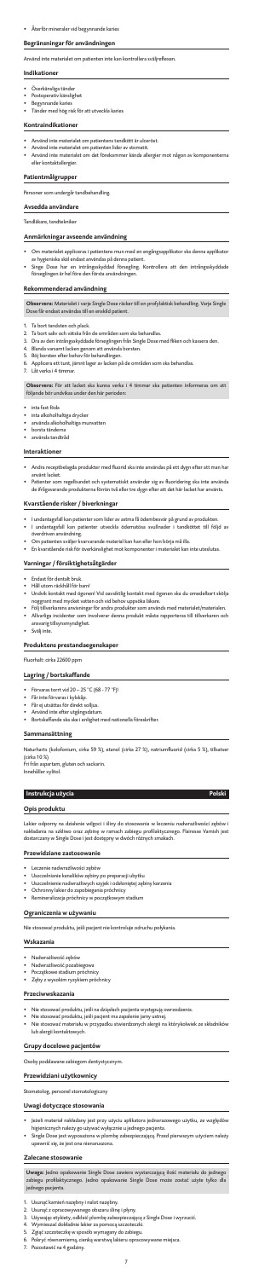### **Begränsningar för användningen**

Använd inte materialet om patienten inte kan kontrollera sväljreflexen

#### **Indikationer**

- Överkänsliga tänder
- Postoperativ känslighet
- Begynnande karies
- Tänder med hög risk för att utveckla karies

#### **Kontraindikationer**

- Använd inte materialet om patientens tandkött är ulceröst.
- Använd inte materialet om patienten lider av stomatit.
- Använd inte materialet om det förekommer kända allergier mot någon av komponente eller kontaktallergier.

### **Patientmålgrupper**

Personer som undergår tandbehandling.

## **Avsedda användare**

Tandläkare, tandtekniker

#### **Anmärkningar avseende användning**

- 1. Ta bort tandsten och plack.<br>2. Ta bort saliv och vätska från
- Ta bort saliv och vätska från de områden som ska behandla
- 3. Dra av den intrångsskyddade förseglingen från Single Dose med fliken och kassera den.
- 4. Blanda varsamt lacken genom att använda borsten.
- 5. Böj borsten efter behov för behandlingen. 6. Applicera ett tunt, jämnt lager av lacken på de områden som ska behandlas.
- 7. Låt verka i 4 timmar.
- Om materialet appliceras i patientens mun med en engångsapplikator ska denna applikator av hygieniska skäl endast användas på denna patient.
- Singe Dose har en intrångsskyddad försegling. Kontrollera att den intrångsskyddade förseglingen är hel före den första användningen.

#### **Rekommenderad användning**

- Andra receptbelagda produkter med fluorid ska inte användas på ett dygn efter att m använt lacket.
- Patienter som regelbundet och systematiskt använder sig av fluoridering ska inte använda de ifrågavarande produkterna förrän två eller tre dygn efter att det här lacket har använts.

**Observera:** Materialet i varje Single Dose räcker till en profylaktisk behandling. Varje Single Dose får endast användas till en enskild patient.

**Observera:** För att lacket ska kunna verka i 4 timmar ska patienten informeras om att följande bör undvikas under den här perioden:

- inta fast föda
- inta alkoholhaltiga drycker
- använda alkoholhaltiga munvatten
- borsta tänderna
- använda tandtråd

#### **Interaktioner**

#### **Kvarstående risker / biverkningar**

- I undantagsfall kan patienter som lider av astma få ödembesvär på grund av produkten. • I undantagsfall kan patienter utveckla ödematösa svullnader i tandköttet till följd av
- överdriven användning. • Om patienten sväljer kvarvarande material kan han eller hon börja må illa.
- En kvarstående risk för överkänslighet mot komponenter i materialet kan inte uteslutas.

### **Varningar / försiktighetsåtgärder**

- Endast för dentalt bruk.
- Håll utom räckhåll för barn!
- Undvik kontakt med ögonen! Vid oavsiktlig kontakt med ögonen ska du omedelbart skölja noggrant med mycket vatten och vid behov uppsöka läkare.
- Följ tillverkarens anvisningar för andra produkter som används med materialet/materialen. • Allvarliga incidenter som involverar denna produkt måste rapporteras till tillverkaren och ansvarig tillsynsmyndighet.
- 
- Svälj inte.

### **Produktens prestandaegenskaper**

Fluorhalt: cirka 22600 ppm

## **Lagring / bortskaffande**

- Förvaras torrt vid 20 25 °C (68 77 °F)!
- Får inte förvaras i kylskåp.
- Får ej utsättas för direkt solljus.
- Använd inte efter utgångsdatum.
- Bortskaffande ska ske i enlighet med nationella föreskrifter.

### **Sammansättning**

Naturharts (kolofonium, cirka 59 %), etanol (cirka 27 %), natriumfluorid (cirka 5 %), tillsatser (cirka 10 %)

Fri från aspartam, gluten och sackarin. Innehåller xylitol.

### **Instrukcja użycia Polski**

#### **Opis produktu**

Lakier odporny na działanie wilgoci i śliny do stosowania w leczeniu nadwrażliwości zębów i nakładania na szkliwo oraz zębinę w ramach zabiegu profilaktycznego. Flairesse Varnish jest

dostarczany w Single Dose i jest dostępny w dwóch różnych smakach.

#### **Przewidziane zastosowanie**

- Leczenie nadwrażliwości zębów
- Uszczelnianie kanalików zębiny po preparacji ubytku
- Uszczelnienie nadwrażliwych szyjek i odsłoniętej zębiny korzenia
- Ochronny lakier do zapobiegania próchnicy
- Remineralizacja próchnicy w początkowym stadium

## **Ograniczenia w używaniu**

Nie stosować produktu, jeśli pacjent nie kontroluje odruchu połykania.

#### **Wskazania**

- Nadwrażliwość zębów
- Nadwrażliwość pozabiegowa
- Początkowe stadium próchnicy
- Zęby z wysokim ryzykiem próchnicy

#### **Przeciwwskazania**

- Nie stosować produktu, jeśli na dziąsłach pacjenta występują owrzodzenia.
- Nie stosować produktu, jeśli pacjent ma zapalenie jamy ustnej.
- Nie stosować materiału w przypadku stwierdzonych alergii na którykolwiek ze składników lub alergii kontaktowych.

### **Grupy docelowe pacjentów**

Osoby poddawane zabiegom dentystycznym.

#### **Przewidziani użytkownicy**

Stomatolog, personel stomatologiczny

#### **Uwagi dotyczące stosowania**

- Jeżeli materiał nakładany jest przy użyciu aplikatora jednorazowego użytku, ze względów higienicznych należy go używać wyłącznie u jednego pacjenta.
- Single Dose jest wyposażona w plombę zabezpieczającą. Przed pierwszym użyciem należy upewnić się, że jest ona nienaruszona.

#### **Zalecane stosowanie**

**Uwaga:** Jedno opakowanie Single Dose zawiera wystarczającą ilość materiału do jednego zabiegu profilaktycznego. Jedno opakowanie Single Dose może zostać użyte tylko dla jednego pacjenta.

- 1. Usunąć kamień nazębny i nalot nazębny.
- 
- 2. Usunąć z opracowywanego obszaru ślinę i płyny. 3. Używając etykiety, odkleić plombę zabezpieczającą z Single Dose i wyrzucić.
- 4. Wymieszać dokładnie lakier za pomocą szczoteczki.
- 5. Zgiąć szczoteczkę w sposób wymagany do zabiegu.
- 6. Pokryć równomierną, cienką warstwą lakieru opracowywane miejsca.
- 7. Pozostawić na 4 godziny.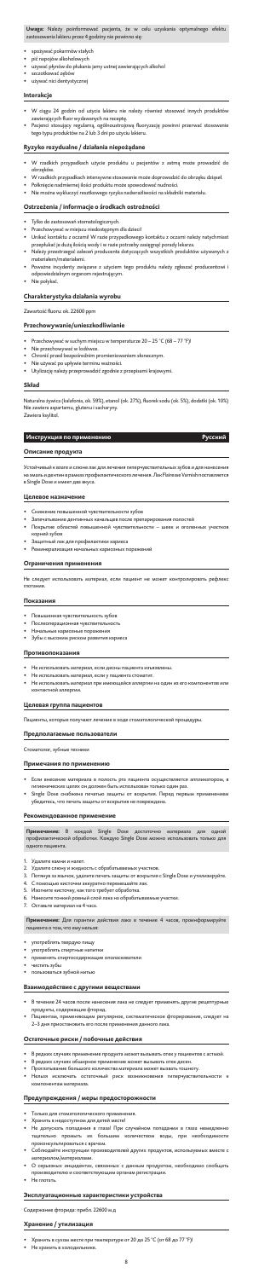**Uwaga:** Należy poinformować pacjenta, że w celu uzyskania optymalnego efektu<br>zastosowania|lakieru|przez4godziny|nie|powinno|się:

- spożywać pokarmów stałych • pić napojów alkoholowych
- używać płynów do płukania jamy ustnej zawierających alkohol
- szczotkować zębów
- używać nici dentystycznej

- W ciągu 24 godzin od użycia lakieru nie należy również stosować innych produktó
- zawierających fluor wydawanych na receptę. • Pacjenci stosujący regularną, ogólnoustrojową fluoryzację powinni przerwać stosowanie tego typu produktów na 2 lub 3 dni po użyciu lakieru.

#### **Interakcje**

#### **Ryzyko rezydualne / działania niepożądane**

- W rzadkich przypadkach użycie produktu u pacjentów z astmą może prowadzić do obrzęków.
- W rzadkich przypadkach intensywne stosowanie może doprowadzić do obrzęku dziąseł.
- Połknięcie nadmiernej ilości produktu może spowodować nudności. • Nie można wykluczyć resztkowego ryzyka nadwrażliwości na składniki materiału.
- 

#### **Ostrzeżenia / informacje o środkach ostrożności**

Устойчивый к влаге и слюне лак для лечения гиперчувствительных зубов и д а эмаль и дентин в рамках профилактического лечения. Лак Flairesse Varnish поставляется в Single Dose и имеет два вкуса.

- Tylko do zastosowań stomatologicznych.
- Przechowywać w miejscu niedostępnym dla dzieci!
- Unikać kontaktu z oczami! W razie przypadkowego kontaktu z oczami należy natychmiast przepłukać je dużą ilością wody i w razie potrzeby zasięgnąć porady lekarza.
- Należy przestrzegać zaleceń producenta dotyczących wszystkich produktów używanych z materiałem/materiałami.
- Poważne incydenty związane z użyciem tego produktu należy zgłaszać producentowi i odpowiedzialnym organom rejestrującym.
- Nie połykać.

Не следует использовать материал, если пациент не может контролировать рефле глотания.

- 
- Повышенная чувствительность зубов<br>Послеоперационная чувствительность Послеоперационная чувствитель
- Начальные кариозные поражения
- Зубы с высоким риском развития кариеса

#### **Charakterystyka działania wyrobu**

Zawartość fluoru: ok. 22600 ppm

- Не использовать материал, если десны пациента изъязв
- Не использовать материал, если у пациента стоматит.
- Не использовать материал при имеющейся аллергии на один из его компонентов ил контактной аллергии.

#### **Przechowywanie/unieszkodliwianie**

- Przechowywać w suchym miejscu w temperaturze 20 25 °C (68 77 °F)!
- Nie przechowywać w lodówce.
- Chronić przed bezpośrednim promieniowaniem słonecznym.
- Nie używać po upływie terminu ważności.
- Utylizację należy przeprowadzić zgodnie z przepisami krajowymi.

#### **Skład**

Naturalna żywica (kalafonia, ok. 59%), etanol (ok. 27%), fluorek sodu (ok. 5%), dodatki (ok. 10%) Nie zawiera aspartamu, glutenu i sacharyny. Zawiera ksylitol.

#### **Инструкция по применению Русский**

- 1. Удалите камни и налет.<br>2. Улалите слюну и жилко
- Удалите слюну и жидкость с обрабатываемых участко
- 3. Потянув за язычок, удалите печать защиты от вскрытия с Single Dose и утилизируйте.
- 4. С помощью кисточки аккуратно перемешайте лак.
- 5. Изогните кисточку, как того требует обработка.
- 6. Нанесите тонкий ровный слой лака на обрабатываемые участки.
- 7. Оставьте материал на 4 часа.

#### **Описание продукта**

- 
- употреблять твердую пищу<br>употреблять спиртные напитки • употреблять спиртн
- применять спиртосодержащие ополаскивател
- чистить зубы
- пользоваться зубной нитью

#### **Целевое назначение**

- В течение 24 часов после нанесения лака не следует применять другие рецептур продукты, содержащие фторид.
- Пациентам, применяющим регулярное, систематическое фторирование, следует на 2–3 дня приостановить его после применения данного лака.

- В редких случаях применение продукта может вызывать отек у пациентов с астмой.
- В редких случаях обширное применение может вызывать отек десен.
- Проглатывание большого количества материала может вызвать тошноту.
- Нельзя исключать остаточный риск возникновения гиперчувствительности к .<br>ипонентам матер
- Снижение повышенной чувствительности зубов
- Запечатывание дентинных канальцев после препарирования полостей
- Покрытие областей повышенной чувствительности шеек и оголенных участков корней зубов
- Защитный лак для профилактики кариеса
- Реминерализация начальных кариозных поражений

#### **Oграничения применения**

#### **Показания**

#### **Противопоказания**

## **Целевая группа пациентов**

Пациенты, которые получают лечение в ходе стоматологической процедуры.

### **Предполагаемые пользователи**

Стоматолог, зубные техник

## **Примечания по применению**

- Если внесение материала в полость рта пациента осуществляется аппликатором, в
- ических целях он должен быть использован только один раз<mark>.</mark>
- •<br>• Single Dose снабжена печатью защиты от вскрытия. Перед первым применение убедитесь, что печать защиты от вскрытия не повреждена.

## **Рекомендованное применение**

| Примечание: В каждой Single Dose достаточно материала для одной |
|-----------------------------------------------------------------|
|-----------------------------------------------------------------|

**Примечание:** В каждой Single Dose достаточно материала для одной профилактической обработки. Каждую Single Dose можно использовать только для одного пациента.

**Примечание:** Для гарантии действия лака в течение 4 часов, проинформируйте пациента о том, что ему нельзя:

#### **Взаимодействие с другими веществами**

#### **Остаточные риски / побочные действия**

#### **Предупреждения / меры предосторожности**

- Только для стоматологического применения.
- Хранить в недоступном для детей месте!
- .<br>Не допускать попадания в глаза! При случайном попадании в глаза немедленно<br>тщательно промыть их большим количеством воды, при необходимости .<br>но промыть их большим количеством воды, при необходимости проконсультироваться с врачом.
- Соблюдайте инструкции производителей других продуктов, используемых вместе с материалом/материалами.
- О серьезных инцидентах, связанных с данным продуктом, необходимо сообщать производителю и соответствующим органам регистрации.
- Не глотать.

## **Эксплуатационные характеристики устройства**

Содержание фторида: прибл. 22600 м.д

#### **Хранение / утилизация**

- Хранить в сухом месте при температуре от 20 до 25 °C (от 68 до 77 °F)!
- Не хранить в холодильнике.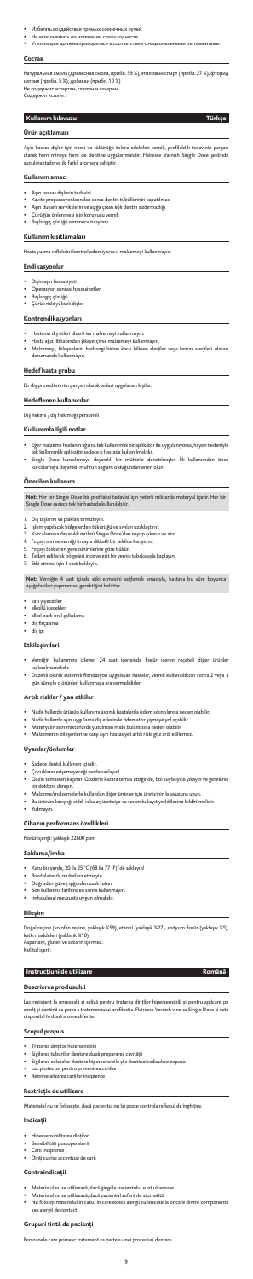- Избегать воздействия прямых солнечных лучей.
- Не использовать по истечении срока годности.
- Утилизация должна проводиться в соответствии с национальными регл

#### **Состав**

Натуральная смола (древесная смола, прибл. 59 %), этиловый спирт (прибл. 27 %), фторид натрия (прибл. 5 %), добавки (прибл. 10 %) Не содержит аспартам, глютен и сахари Содержит ксилит.

Aşırı hassas dişler için nemi ve tükürüğü tolere edebilen vernik, profilaktik tedavinin parçası<br>olarak hem mineye hem de dentine uygulanmalıdır. Flairesse Varnish Single Dose şeklinde olarak hem mineye hem de dentine uygulanmalıdır. Flairesse Va sunulmaktadır ve iki farklı aromaya sahiptir.

# **Kullanım kılavuzu Türkçe**

#### **Ürün açıklaması**

### **Kullanım amacı**

- Aşırı hassas dişlerin tedavisi
- Kavite preparasyonlarından sonra dentin tübüllerinin kapatılması
- Aşırı duyarlı servikslerin ve açığa çıkan kök dentin sızdırmazlığı
- Çürüğün önlenmesi için koruyucu vernik
- Başlangıç çürüğü remineralizasyonu

#### **Kullanım kısıtlamaları**

Hasta yutma refleksini kontrol edemiyorsa u malzemeyi kullanmayın.

### **Endikasyonlar**

- Dişin aşırı hassasiyeti
- Operasyon sonrası hassasiyetler
- Başlangıç çürüğü
- Çürük riski yüksek dişler

## **Kontrendikasyonları**

- Hastanın diş etleri ülserli ise malzemeyi kullanmayın.
- Hasta ağız iltihabından şikayetçiyse malzemeyi kullanmayın.
- Malzemeyi, bileşenlerin herhangi birine karşı bilinen alerjiler veya temas alerjileri olması durumunda kullanmayın.

## **Hedef hasta grubu**

Bir diş prosedürünün parçası olarak tedavi uygulanan kişiler.

#### **Hedeflenen kullanıcılar**

Diş hekimi / diş hekimliği personeli

#### **Kullanımla ilgili notlar**

- Eğer malzeme hastanın ağzına tek kullanımlık bir aplikatör ile uygulanıyorsa, hijyen nedeniyle tek kullanımlık aplikatör sadece o hastada kullanılmalıdır.
- Single Dose kurcalamaya dayanıklı bir mühürle donatılmıştır. İlk kullanımdan önce kurcalamaya dayanıklı mührün sağlam olduğundan emin olun.

#### **Önerilen kullanım**

**Not:** Her bir Single Dose bir profilaksi tedavisi için yeterli miktarda materyal içerir. Her bir Single Dose sadece tek bir hastada kullanılabilir.

- 1. Diş taşlarını ve plakları temizleyin.
- 2. İşlem yapılacak bölgelerden tükürüğü ve sıvıları uzaklaştırın.
- 3. Kurcalamaya dayanıklı mührü Single Dose'dan soyup çıkarın ve atın.
- 4. Fırçayı alın ve verniği fırçayla dikkatli bir şekilde karıştırın.
- 5. Fırçayı tedavinin gereksinimlerine göre bükün.
- 6. Tedavi edilecek bölgeleri ince ve eşit bir vernik tabakasıyla kaplayın.
- 7. Etki etmesi için 4 saat bekleyin.

**Not:** Verniğin 4 saat içinde etki etmesini sağlamak amacıyla, hastaya bu süre boyunca aşağıdakileri yapmaması gerektiğini belirtin:

- katı yiyecekler
- alkollü içecekler
- alkol bazlı oral çalkalama
- diş fırçalama
- diş ipi

### **Etkileşimleri**

- Verniğin kullanımını izleyen 24 saat içerisinde florür içeren reçeteli diğer ürünler kullanılmamalıdır.
- Düzenli olarak sistemik floridasyon uygulayan hastalar, vernik kullanıldıktan sonra 2 veya 3 gün süreyle o ürünleri kullanmaya ara vermelidirler.

### **Artık riskler / yan etkiler**

- Nadir hallerde ürünün kullanımı astımlı hastalarda ödem sıkıntılarına neden olabilir.
- Nadir hallerde aşırı uygulama diş etlerinde ödematöz şişmeye yol açabilir.
- Materyalin aşırı miktarlarda yutulması mide bulantısına neden olabilir.
- Malzemenin bileşenlerine karşı aşırı hassasiyet artık riski göz ardı edilemez.

#### **Uyarılar/önlemler**

- Sadece dental kullanım içindir.
- Çocukların erişemeyeceği yerde saklayın!
- Gözle temastan kaçının! Gözlerle kazara temas ettiğinde, bol suyla iyice yıkayın ve gerekirse bir doktora danışın.
- Malzeme/malzemelerle kullanılan diğer ürünler için üreticinin kılavuzuna uyun.
- Bu ürünün karıştığı ciddi vakalar, üreticiye ve sorumlu kayıt yetkililerine bildirilmelidir.
- Yutmayın.

#### **Cihazın performans özellikleri**

Florür içeriği: yaklaşık 22600 ppm

## **Saklama/imha**

- Kuru bir yerde, 20 ila 25 °C (68 ila 77 °F) 'de saklayın!
- Buzdolabında muhafaza etmeyin.
- Doğrudan güneş ışığından uzak tutun.
- Son kullanma tarihinden sonra kullanm
- İmha ulusal mevzuata uygun olmalıdır.

#### **Bileşim**

Doğal reçine (kolofan reçine, yaklaşık %59), etanol (yaklaşık %27), sodyum florür (yaklaşık %5),<br>katkı maddeleri (vaklasık %10) ı maddeleri (yaklaşık %10)

Aspartam, gluten ve sakarin içermez. Ksilitol içerir.

#### **Instrucțiuni de utilizare Română**

## **Descrierea produsului**

Lac rezistent la umezeală și salivă pentru tratarea dinților hipersensibili și pentru aplicare p smalț și dentină ca parte a tratamentului profilactic. Flairesse Varnish vine ca Single Dose și este<br>disnonibil în două arome diferite. , assumence p<br>ibil în două arome diferite.

#### **Scopul propus**

- Tratarea dinţilor hipersensibili
- Sigilarea tuburilor dentare după prepararea cavităţii
- Sigilarea coletelor dentare hipersensibile şi a dentinei radiculare expuse
- Lac protector pentru prevenirea cariilor
- Remineralizarea cariilor incipiente

### **Restricție de utilizare**

Materialul nu se foloseşte, dacă pacientul nu îşi poate controla reflexul de înghiţire.

#### **Indicaţii**

- Hipersensibilitatea dinţilor
- Sensibilităţi postoperatorii
- Carii incipiente
- Dinţi cu risc accentuat de carii

#### **Contraindicaţii**

- Materialul nu se utilizează, dacă gingiile pacientului sunt ulceroase.
- Materialul nu se utilizează, dacă pacientul suferă de stomatită.
- Nu folosiți materialul în cazul în care există alergii cunoscute la oricare dintre componente sau alergii de contact.

### **Grupuri țintă de pacienți**

Persoanele care primesc tratament ca parte a unei proceduri dentare.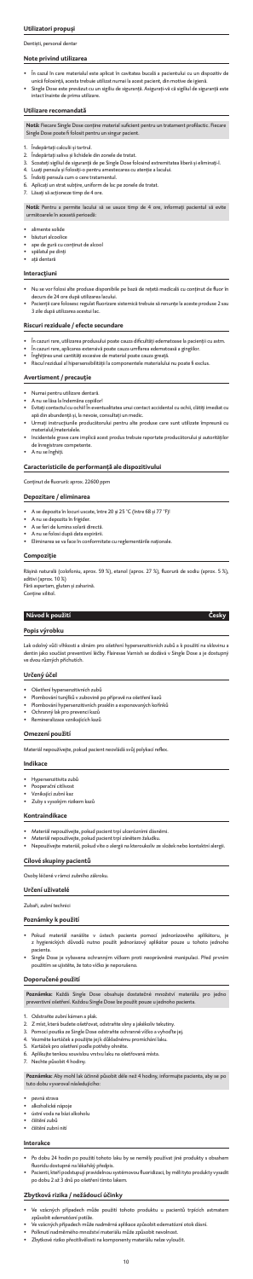## **Utilizatori propuși**

#### Dentiști, personal denta

#### **Note privind utilizarea**

- În cazul în care materialul este aplicat în cavitatea bucală a pacientului cu un dispozitiv de
- unică folosință, acesta trebuie utilizat numai la acest pacient, din motive de igienă. • Single Dose este prevăzut cu un sigiliu de siguranţă. Asiguraţi-vă că sigiliul de siguranţă este intact înainte de prima utilizare.

## **Utilizare recomandată**

- 1. Îndepărtați calculii și tartrul.<br>2. Îndepărtați saliva și lichidele
- Îndepărtați saliva și lichidele din zonele de tratat.
- 3. Scoateţi sigiliul de siguranţă de pe Single Dose folosind extremitatea liberă şi eliminaţi-l.
- 4. Luaţi pensula şi folosiţi-o pentru amestecarea cu atenţie a lacului.
- 5. Îndoiţi pensula cum o cere tratamentul.
- 6. Aplicaţi un strat subţire, uniform de lac pe zonele de tratat.
- 7. Lăsaţi să acţioneze timp de 4 ore.

**Notă:** Fiecare Single Dose conţine material suficient pentru un tratament profilactic. Fiecare Single Dose poate fi folosit pentru un singur pacient.

- alimente solide
- băuturi alcoolice
- ape de gură cu conţinut de alcool
- spălatul pe dinţi • aţă dentară

**Notă:** Pentru a permite lacului să se usuce timp de 4 ore, informaţi pacientul să evite următoarele în această perioadă:

## **Interacţiuni**

- Nu se vor folosi alte produse disponibile pe bază de rețetă medicală cu conţinut de fluor în decurs de 24 ore după utilizarea lacului.
- Pacienţii care folosesc regulat fluorizare sistemică trebuie să renunţe la aceste produse 2 sau 3 zile după utilizarea acestui lac.

#### **Riscuri reziduale / efecte secundare**

- În cazuri rare, utilizarea produsului poate cauza dificultăţi edematoase la pacienţii cu astm.
- În cazuri rare, aplicarea extensivă poate cauza umflarea edematoasă a gingiilor.
- Înghiţirea unei cantităţi excesive de material poate cauza greaţă.
- Riscul rezidual al hipersensibilității la componentele materialului nu poate fi exclus.

#### **Avertisment / precauție**

- Numai pentru utilizare dentară.
- A nu se lăsa la îndemâna copiilor!
- Evitați contactul cu ochii! În eventualitatea unui contact accidental cu ochii, clătiţi imediat cu apă din abundență şi, la nevoie, consultaţi un medic.
- Urmați instrucțiunile producătorului pentru alte produse care sunt utilizate împreună cu materialul/materialele.
- Incidentele grave care implică acest produs trebuie raportate producătorului și autorităților de înregistrare competente.
- A nu se înghiţi.

- Pokud materiál nanášíte v ústech pacienta pomocí jednorázového aplikátoru, z hygienických důvodů nutno použít jednorázový aplikátor pouze u tohoto jednoho pacienta.
- Single Dose je vybavena ochranným víčkem proti neoprávněné manipulaci. Před prvním použitím se ujistěte, že toto víčko je neporušeno.

## **Caracteristicile de performanță ale dispozitivului**

Conţinut de fluorură: aprox. 22600 ppm

## **Depozitare / eliminarea**

- A se depozita în locuri uscate, între 20 și 25 °C (între 68 și 77 °F)!
- A nu se depozita în frigider.
- A se feri de lumina solară directă.
- A nu se folosi după data expirării.
- Eliminarea se va face în conformitate cu reglementările naţionale.

#### **Compoziţie**

Răşină naturală (colofoniu, aprox. 59 %), etanol (aprox. 27 %), fluorură de sodiu (aprox. 5 %), aditivi (aprox. 10 %) Fără aspartam, gluten şi zaharină.

Conţine xilitol.

#### **Návod k použití Česky**

**Popis výrobku**

Lak odolný vůči vlhkosti a slinám pro ošetření hypersenzitivních zubů a k použití na sklovinu a dentin jako součást preventivní léčby. Flairesse Varnish se dodává v Single Dose a je dostupný ve dvou různých příchutích.

#### **Určený účel**

- Ošetření hypersenzitivních zubů
- Plombování tunýlků v zubovině po přípravě na ošetření kazů
- Plombování hypersenzitivních prasklin a exponovaných kořínků
- Ochranný lak pro prevenci kazů
- Remineralizace vznikajících kazů

## **Omezení použití**

Materiál nepoužívejte, pokud pacient neovládá svůj polykací reflex.

#### **Indikace**

- Hypersenzitivita zubů
- Pooperační citlivost
- Vznikající zubní kaz • Zuby s vysokým rizikem kazů

#### **Kontraindikace**

• Materiál nepoužívejte, pokud pacient trpí ulcerózními dásněmi.

- Materiál nepoužívejte, pokud pacient trpí zánětem žaludku.
- Nepoužívejte materiál, pokud víte o alergii na kteroukoliv ze složek nebo kontaktní alergii.

#### **Cílové skupiny pacientů**

Osoby léčené v rámci zubního zákroku.

#### **Určení uživatelé**

Zubaři, zubní technici

### **Poznámky k použití**

#### **Doporučené použití**

**Poznámka:** Každá Single Dose obsahuje dostatečné množství materiálu pro jedno preventivní ošetření. Každou Single Dose lze použít pouze u jednoho pacienta.

- 1. Odstraňte zubní kámen a plak.<br>2. Z míst, která budete ošetřovat
- 2. Z míst, která budete ošetřovat, odstraňte sliny a jakékoliv tekutiny.
- 3. Pomocí poutka ze Single Dose odstraňte ochranné víčko a vyhoďte jej.
- 4. Vezměte kartáček a použijte jej k důkladnému promíchání laku.
- 5. Kartáček pro ošetření podle potřeby ohněte.
- 6. Aplikujte tenkou souvislou vrstvu laku na ošetřovaná místa.<br>7. Nechte působit 4 hodiny.
- Nechte působit 4 hodiny.

**Poznámka:** Aby mohl lak účinně působit déle než 4 hodiny, informujte pacienta, aby se po<br>tuto dobu vyvaroval následujícího:

- pevná strava
- alkoholické nápoje
- ústní voda na bázi alkoholu
- čištění zubů
- čištění zubní nití

#### **Interakce**

- Po dobu 24 hodin po použití tohoto laku by se neměly používat jiné produkty s obsahem fluoridu dostupné na lékařský předpis.
- Pacienti, kteří podstupují pravidelnou systémovou fluoridizaci, by měli tyto produkty vysadit po dobu 2 až 3 dnů po ošetření tímto lakem.

#### **Zbytková rizika / nežádoucí účinky**

- Ve vzácných případech může použití tohoto produktu u pacientů trpících astmatem způsobit edematózní potíže.
- Ve vzácných případech může nadměrná aplikace způsobit edematózní otok dásní.
- Polknutí nadměrného množství materiálu může způsobit nevolnost.
- Zbytkové riziko přecitlivělosti na komponenty materiálu nelze vyloučit.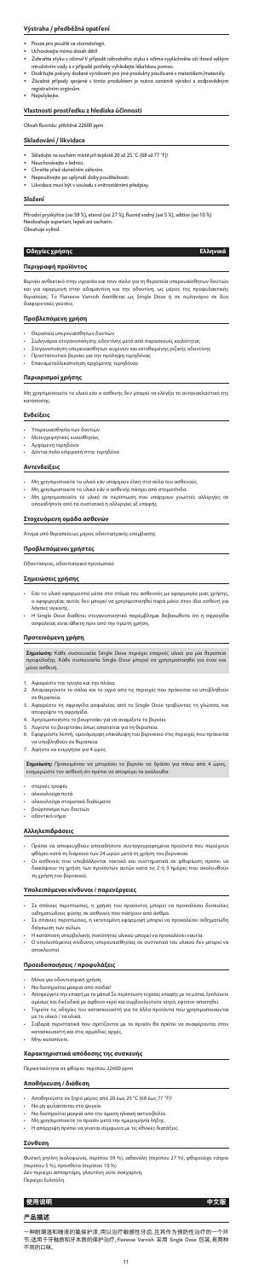## **Výstraha / předběžná opatření**

- Pouze pro použití ve stomatologii • Uchovávejte mimo dosah dětí!
- Zabraňte styku s očima! V případě náhodného styku s očima vypláchněte oči ihned velkým množstvím vody a v případě potřeby vyhledejte lékařskou pomoc.
- Dodržujte pokyny dodané výrobcem pro jiné produkty používané s materiálem/materiály.
- Závažné případy spojené s tímto produktem je nutno oznámit výrobci a zodpovědným registračním orgánům.
- Nepolykejte.

#### **Vlastnosti prostředku z hlediska účinnosti**

Obsah fluoridu: přibližně 22600 ppm

#### **Skladování / likvidace**

Βερνίκι ανθεκτικό στην υγρασία και τονν σίελο για τη θεραπεία υπερευαίσθητων δοντιώ και για εφαρμογή στην αδαμαντίνη και την οδοντίνη, ως μέρος της προφυλακτικής θεραπείας. Το Flairesse Varnish διατίθεται ως Single Dose ή σε σωληνάριο σε δύο διαφορετικές γεύσεις.

- Skladujte na suchém místě při teplotě 20 až 25 °C (68 až 77 °F)!
- Neuchovávejte v lednici.
- Chraňte před slunečním zářením.
- Nepoužívejte po uplynutí doby použitelnosti.
- Likvidace musí být v souladu s vnitrostátními předpisy.

#### **Složení**

Přírodní pryskyřice (asi 59 %), etanol (asi 27 %), fluorid sodný (asi 5 %), aditiva (asi 10 %) Neobsahuje aspartam, lepek ani sacharin. Obsahuje xylitol.

- Μη χρησιμοποιείτε το υλικό εάν υπάρχουν έλκη στα ούλα του ασθενούς.
- Μη χρησιμοποιείτε το υλικό εάν ο ασθενής πάσχει από στοματίτιδα.
- Μη χρησιμοποιείτε το υλικό σε περίπτωση που υπάρχουν γνωστές αλλεργίες σε ,..<br>ιαδήποτε από τα συστατικά ή αλλεργίες εξ επαφής.

## **Οδηγίες χρήσης Ελληνικά**

## **Περιγραφή προϊόντος**

#### **Προβλεπόμενη χρήση**

- Θεραπεία υπερευαίσθητων δοντιών
- Σωληνάρια στεγανοποίησης οδοντίνης μετά από παρασκευές κοιλότητας
- Στεγανοποίηση υπερευαίσθητων αυχένων και εκτεθειμένης ριζικής οδοντίνης
- Προστατευτικό βερνίκι για την πρόληψη τερηδόνας
- Επαναμεταλλικοποίηση αρχόμενης τερηδόνας

#### **Περιορισμοί χρήσης**

Μη χρησιμοποιείτε το υλικό εάν ο ασθενής δεν μπορεί να ελέγξει το αντανακλαστικό της κατάποσης.

#### **Ενδείξεις**

- Υπερευαισθησία των δοντιών
- Μετεγχειρητικές ευαισθησίες
- Αρχόμενη τερηδόνα
- Δόντια πολύ επιρρεπή στην τερηδόνα

#### **Αντενδείξεις**

#### **Στοχευόμενη ομάδα ασθενών**

Άτομα υπό θεραπεία ως μέρος οδοντιατρικής επέμβασης.

#### **Προβλεπόμενοι χρήστες**

Οδοντίατρος, οδοντιατρικό προσωπικό

#### **Σημειώσεις χρήσης**

- Εάν το υλικό εφαρμοστεί μέσα στο στόμα του ασθενούς με εφαρμογέα μιας χρήσης, ο εφαρμογέας αυτός δεν μπορεί να χρησιμοποιηθεί παρά μόνο στον ίδιο ασθενή για λόγους υγιεινής.
- Η Single Dose διαθέτει στεγανοποιητικό παρέμβλημα. Βεβαιωθείτε ότι η σφραγίδα ασφαλείας είναι άθικτη πριν από την πρώτη χρήση.

#### **Προτεινόμενη χρήση**

**Σημείωση:** Κάθε συσκευασία Single Dose περιέχει επαρκές υλικό για μία θεραπεία προφύλαξης. Κάθε συσκευασία Single Dose μπορεί να χρησιμοποιηθεί για έναν και μόνο ασθενή.

- 1. Αφαιρέστε την τρυγία και την πλάκα.
- 2. Απομακρύνετε το σάλιο και το υγρό από τις περιοχές που πρόκειται να υποβληθούν σε θεραπεία.
- 3. Αφαιρέστε τη σφραγίδα ασφαλείας από το Single Dose τραβώντας τη γλώσσα, και απορρίψτε τη σφραγίδα.
- 4. Χρησιμοποιήστε το βουρτσάκι για να αναμίξετε το βερνίκι.
- 5. Λυγίστε το βουρτσάκι όπως απαιτείται για τη θεραπεία.
- 6. Εφαρμόστε λεπτή, ομοιόμορφη επικάλυψη του βερνικιού στις περιοχές που πρόκ να υποβληθούν σε θεραπεία.
- 7. Αφήστε να ενεργήσει για 4 ώρες.

**Σημείωση:** Προκειμένου να μπορέσει το βερνίκι να δράσει για πάνω από 4 ώρες, ενημερώστε τον ασθενή ότι πρέπει να αποφύγει τα ακόλουθα:

- στερεές τροφές
- αλκοολούχα ποτά
- αλκοολούχα στοματικά διαλύματα
- βούρτσισμα των δοντιών
- 

## • οδοντικό νήμα **Αλληλεπιδράσεις**

- Πρέπει να αποφευχθούν οποιαδήποτε συνταγογραφημένα προϊόντα που περιέχουν φθόριο κατά τη διάρκεια των 24 ωρών μετά τη χρήση του βερνικιού.
- Οι ασθενείς που υποβάλλονται τακτικά και συστηματικά σε φθορίωση πρέπει να διακόψουν τη χρήση των προϊόντων αυτών κατά τις 2 ή 3 ημέρες που ακολουθούν τη χρήση του βερνικιού.

#### **Υπολειπόμενοι κίνδυνοι / παρενέργειες**

- Σε σπάνιες περιπτώσεις, η χρήση του προϊόντος μπορεί να προκαλέσει δυσκολίες οιδηματώδους φύσης σε ασθενείς που πάσχουν από άσθμα.
- Σε σπάνιες περιπτώσεις, η εκτεταμένη εφαρμογή μπορεί να προκαλέσει οιδηματώδη διόγκωση των ούλων.
- Η κατάποση υπερβολικής ποσότητας υλικού μπορεί να προκαλέσει ναυτία.
- Ο υπολειπόμενος κίνδυνος υπερευαισθησίας σε συστατικά του υλικού δεν μπορεί να αποκλειστεί.

#### **Προειδοποιήσεις / προφυλάξεις**

- Μόνο για οδοντιατρική χρήση.
- Να διατηρείται μακριά από παιδιά!
- Αποφεύγετε την επαφή με τα μάτια! Σε περίπτωση τυχαίας επαφής με τα μάτια, ξεπλύνετε αμέσως και διεξοδικά με άφθονο νερό και συμβουλευτείτε ιατρό, εφόσον απαιτηθεί.
- Τηρείτε τις οδηγίες του κατασκευαστή για τα άλλα προϊόντα που χρησιμοποιούνται με το υλικό / τα υλικά.
- .<br>Σοβαρά περιστατικά που σχετίζονται με το προϊόν θα πρέπει να αναφέρονται στο κατασκευαστή και στις αρμόδιες αρχές.
- Μην καταπίνετε.

#### **Χαρακτηριστικά απόδοσης της συσκευής**

Περιεκτικότητα σε φθόριο: περίπου 22600 ppm

#### **Αποθήκευση / διάθεση**

- Αποθηκεύστε σε ξηρό μέρος από 20 έως 25 °C (68 έως 77 °F)!
- Να μη φυλάσσεται στο ψυγείο.
- Να διατηρείται μακριά από την άμεση ηλιακή ακτινοβολία.
- Μη χρησιμοποιείτε το προϊόν μετά την ημερομηνία λήξης.
- Η απόρριψη πρέπει να γίνεται σύμφωνα με τις εθνικές διατάξεις.

#### **Σύνθεση**

Φυσική ρητίνη (κολοφώνιο, περίπου 59 %), αιθανόλη (περίπου 27 %), φθοριούχο νάτριο (περίπου 5 %), πρόσθετα (περίπου 10 %) Δεν περιέχει ασπαρτάμη, γλουτένη ούτε σακχαρίνη.

Περιέχει ξυλιτόλη.

## **使用说明 中文版**

#### **产品描述**

一种耐潮湿和唾液的氟保护漆,用以治疗敏感性牙齿,且其作为预防性治疗的一个环 节,适用于牙釉质和牙本质的保护治疗。Flairesse Varnish 采用 Single Dose 包装,有两种 不同的口味。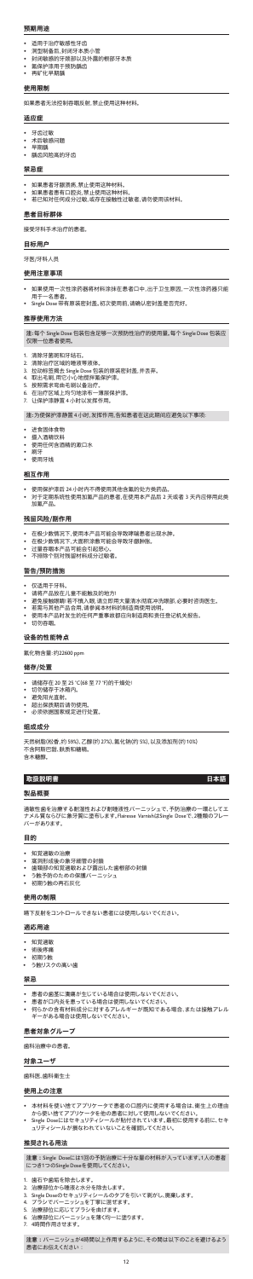#### **预期用途**

- 适用于治疗敏感性牙齿
- 洞型制备后,封闭牙本质小管
- 封闭敏感的牙颈部以及外露的根部牙本质
- 氟保护漆用于预防龋齿
- 再矿化早期龋

#### **使用限制**

如果患者无法控制吞咽反射,禁止使用这种材料。

#### **适应症**

- 牙齿过敏
- 术后敏感问题
- 早期龋
- 龋齿风险高的牙齿

#### **禁忌症**

- 如果患者牙龈溃疡,禁止使用这种材料。
- 如果患者患有口腔炎,禁止使用这种材料。
- 若已知对任何成分过敏,或存在接触性过敏者,请勿使用该材料。

#### **患者目标群体**

接受牙科手术治疗的患者。

#### **目标用户**

牙医/牙科人员

#### **使用注意事项**

- 1. 清除牙菌斑和牙结石
- 
- 2. 清除治疗区域的唾液等液体<br>3. 拉动标签揭去 Single Dose 包 3. 拉动标签揭去 Single Dose 包装的原装密封盖,并丢弃。<br>4. 取出毛副 用它小心地搅拌氧保护漆。
- 取出毛刷,用它小心地搅拌氟保护漆。
- 5. 按照需求弯曲毛刷以备治疗。
- 6. 在治疗区域上均匀地涂布一薄层保护漆。
- 7. 让保护漆静置 4 小时以发挥作用。
- 如果使用一次性涂药器将材料涂抹在患者口中,出于卫生原因,一次性涂药器只能 用于一名患者。
- Single Dose 带有原装密封盖。初次使用前,请确认密封盖是否完好。

- 摄入酒精饮料
- 使用任何含酒精的漱口水
- 刷牙
- 使用牙线

#### **推荐使用方法**

**注:**每个 Single Dose 包装包含足够一次预防性治疗的使用量。每个 Single Dose 包装应 仅限一位患者使用。

**注:**为使保护漆静置 4 小时,发挥作用,告知患者在这此期间应避免以下事项:

#### • 进食固体食物

過敏性歯を治療する耐湿性および耐唾液性バーニッシュで、予防治療の一環としてエ<br>ナメル質ならびに象牙質に塗布します。Flairesse VarnishはSingle Doseで、2種類のフレー - <br>- メル質ならびに象牙質に塗布します。Flairesse VarnishはSingle Dose バーがあります。

#### **相互作用**

- 使用保护漆后 24 小时内不得使用其他含氟的处方类药品。
- 对于定期系统性使用加氟产品的患者,在使用本产品后 2 天或者 3 天内应停用此类 加氟产品。

## **残留风险/副作用**

- 在极少数情况下,使用本产品可能会导致哮喘患者出现水肿。
- 在极少数情况下,大面积涂敷可能会导致牙龈肿胀。
- <sub>·</sub> エー・ストンの<br><br><br>过量吞咽本产品可能会引起恶心。
- 不排除个别对残留材料成分过敏者。

#### **警告/预防措施**

- 仅适用于牙科。
- 。<br>请将产品放在儿童不能触及的地方!
- 避免接触眼睛!若不慎入眼,请立即用大量清水彻底冲洗眼部,必要时咨询医生。
- 若需与其他产品合用,请参阅本材料的制造商使用说明。
- 使用本产品时发生的任何严重事故都应向制造商和责任登记机关报告。
- 切勿吞咽。

#### **设备的性能特点**

氟化物含量:约22600 ppm

- 1. 歯石や歯垢を除去します
- 2. 治療部位から唾液と水分を除去します。
- 3. Single Doseのセキュリティシールのタブを引いて剥がし、廃棄します。
- 4. フラシでバーニッシュを亅寧に混ぜます。
- 
- 5. 治療部位に応じてブラシを曲げます。 6. 治療部位にバーニッシュを薄く均一に塗ります。
- 7. 4時間作用させます。

**注意:**バーニッシュが4時間以上作用するように、その間は以下のことを避けるよう 患者にお伝えください:

#### **储存/处置**

- 请储存在 20 至 25 °C(68 至 77 °F)的干燥处!
- 切勿储存于冰箱内。
- 避免阳光直射。
- 超出保质期后请勿使用。
- 必须依据国家规定进行处置。

## **组成成分**

天然树脂(松香,约 59%)、乙醇(约 27%)、氟化钠(约 5%),以及添加剂(约 10%) 不含阿斯巴甜、麸质和糖精。 含木糖醇。

### **取扱説明書 日本語**

#### **製品概要**

#### **目的**

- 知覚過敏の治療
- ニュ・・・。<br>- 窩洞形成後の象牙細管の封鎖
- 歯頚部の知覚過敏および露出した歯根部の封鎖
- う蝕予防のための保護バーニッシュ
- 初期う蝕の再石灰化

#### **使用の制限**

嚥下反射をコントロールできない患者には使用しないでください。

#### **適応用途**

- 知覚過敏
- 術後疼痛
- 初期う蝕
- う蝕リスクの高い歯

#### **禁忌**

- 患者の歯茎に潰瘍が生じている場合は使用しないでください。
- 患者が口内炎を患っている場合は使用しないでください。
- 何らかの含有材料成分に対するアレルギーが既知である場合、または接触アレル ギーがある場合は使用しないでください。

#### **患者対象グループ**

歯科治療中の患者。

#### **対象ユーザ**

歯科医、歯科衛生士

#### **使用上の注意**

- 本材料を使い捨てアプリケータで患者の口腔内に使用する場合は、衛生上の理由 から使い捨てアプリケータを他の患者に対して使用しないでください。
- Single Doseにはセキュリティシールが貼付されています。最初に使用する前に、セキ ュリティシールが損なわれていないことを確認してください。

#### **推奨される用法**

**注意:**Single Doseには1回の予防治療に十分な量の材料が入っています。1人の患者 につき1つのSingle Doseを使用してください。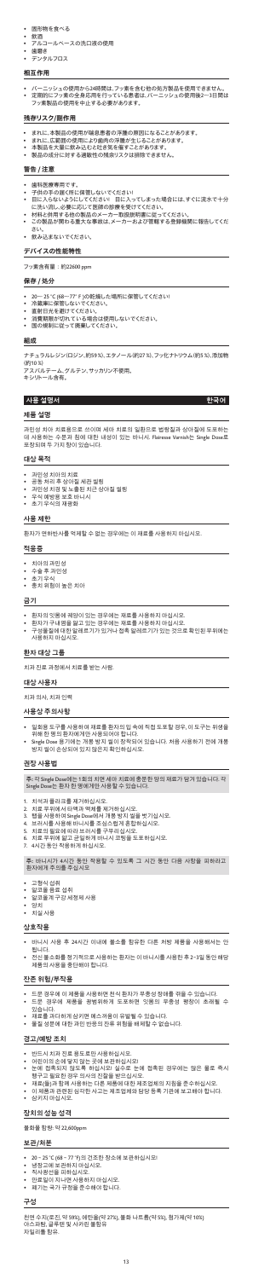- 固形物を食べる
- 飲酒
- アルコールベースの洗口液の使用
- 歯磨き -<br><sup>=</sup>ンタルフロス

#### **相互作用**

- バーニッシュの使用から24時間は、フッ素を含む他の処方製品を使用できません<br>定期的にフッ素の全身応用を行っている患者は、バーニッシュの使用後2~3日 • 定期的にフッ素の全身応用を行っている患者は、バーニッシュの使用後2~3日間は
- フッ素製品の使用を中止する必要があります。

#### **残存リスク/副作用**

- まれに、本製品の使用が喘息患者の浮腫の原因になることがあります。
- まれに、広範囲の使用により歯肉の浮腫が生じることがあります。
- 本製品を大量に飲み込むと吐き気を催すことがあります。
- 製品の成分に対する過敏性の残余リスクは排除できません。

## **警告 / 注意**

- 歯科医療専用です
- 子供の手の届く所に保管しないでください!
- 目に入らないようにしてください! 目に入ってしまった場合には、すぐに流水で十分 に洗い流し、必要に応じて医師の診療を受けてください。
- 材料と併用する他の製品のメーカー取扱説明書に従ってください。
- この製品が関わる重大な事故は、メーカーおよび管轄する登録機関に報告してくだ さい。
- 飲み込まないでください。

#### **デバイスの性能特性**

フッ素含有量:約22600 ppm

#### **保存 / 処分**

- 환자의 잇몸에 궤양이 있는 경우에는 재료를 사용하지 마십시오.
- 환자가 구내염을 앓고 있는 경우에는 재료를 사용하지 마십시오.
- 구성물질에 대한 알레르기가 있거나 접촉 알레르기가 있는 것으로 확인된 부위에는 .<br>사용하지 마십시오
- 20~ 25 °C (68~77°F)の乾燥した場所に保管してください!
- 冷蔵庫に保管しないでください。
- 直射日光を避けてください。
- 消費期限が切れている場合は使用しないでください。
- 国の規制に従って廃棄してください。

#### **組成**

ナチュラルレジン(ロジン、約59 %)、エタノール(約27 %)、フッ化ナトリウム(約5 %)、添加物 (約10 %)

<sub>・・・・。</sub><br>スパルテーム、グルテン、サッカリン不使用。<br>シリトール含有。 キシリトー

### **사용 설명서 한국어**

#### **제품 설명**

과민성 치아 치료용으로 쓰이며 세마 치료의 일환으로 법랑질과 상아질에 도포하는 데 사용하는 수분과 침에 대한 내성이 있는 바니시. Flairesse Varnish는 Single Dose로 포장되며 두 가지 향이 있습니다.

#### **대상 목적**

- 과민성 치아의 치료
- 공동 처리 후 상아질 세관 씰링
- 과민성 치경 및 노출된 치근 상아질 씰링 • 우식 예방용 보호 바니시
- 초기 우식의 재광화

### **사용 제한**

환자가 연하반사를 억제할 수 없는 경우에는 이 재료를 사용하지 마십시오.

## **적응증**

- 치아의 과민성
- 수술 후 과민성
- 초기 우식 • 충치 위험이 높은 치아
- 

### **금기**

- 20 ~ 25 °C (68 ~ 77 °F)의 건조한 장소에 보관하십시오!
- 냉장고에 보관하지 마십시오.
- 직사광선을 피하십시오.
- 만료일이 지나면 사용하지 마십시오.
- –<br>폐기는 국가 규정을 준수해야 합니다.

## **환자 대상 그룹**

치과 진료 과정에서 치료를 받는 사람.

**대상 사용자**

치과 의사, 치과 인력

### **사용상 주의사항**

- 일회용 도구를 사용하여 재료를 환자의 입 속에 직접 도포할 경우, 이 도구는 위생을 위해 한 명의 환자에게만 사용되어야 합니다.
- Single Dose 용기에는 개봉 방지 씰이 장착되어 있습니다. 처음 사용하기 전에 개봉 방지 씰이 손상되어 있지 않은지 확인하십시오.

## **권장 사용법**

**주:** 각 Single Dose에는 1회의 치면 세마 치료에 충분한 양의 재료가 담겨 있습니다. 각 Single Dose는 환자 한 명에게만 사용할 수 있습니다.

- 1. 치석과 플라크를 제거하십시오.
- 2. 치료 부위에서 타액과 액체를 제거하십시오<br>3. 탭을 사용하여 Single Dose에서 개봉 방지 씰
- 
- .<br>3. 탭을 사용하여 Single Dose에서 개봉 방지 씰을 벗기십시오.<br>4. 브러시를 사용해 바니시를 조심스럽게 혼합하십시오. 4. 브러시를 사용해 바니시를 조심스럽게 혼합하십시오.
- 5. 치료의 필요에 따라 브러시를 구부리십시오.
- 6. 치료 부위에 얇고 균일하게 바니시 코팅을 도포하십시오.
- 7. 4시간 동안 작용하게 하십시오.

**주:** 바니시가 4시간 동안 작용할 수 있도록 그 시간 동안 다음 사항을 피하라고 환자에게 주의를 주십시오

- 고형식 섭취
- 알코올 음료 섭취
- — — …<br>알코올계 구강 세정제 사용
- 양치
- 치실 사용

#### **상호작용**

- 바니시 사용 후 24시간 이내에 불소를 함유한 다른 처방 제품을 사용해서는 안 됩니다.
- 전신 불소화를 정기적으로 사용하는 환자는 이 바니시를 사용한 후 2~3일 동안 해당 제품의 사용을 중단해야 합니다.

#### **잔존 위험/부작용**

- 드문 경우에 이 제품을 사용하면 천식 환자가 부종성 장애를 겪을 수 있습니다.
- 드문 경우에 제품을 광범위하게 도포하면 잇몸의 부종성 팽창이 초래될 수 있습니다.
- , ...<br>재료를 과다하게 삼키면 메스꺼움이 유발될 수 있습니다.
- 물질 성분에 대한 과민 반응의 잔류 위험을 배제할 수 없습니다.

### **경고/예방 조치**

- 반드시 치과 진료 용도로만 사용하십시오.
- 어린이의 손에 닿지 않는 곳에 보관하십시오!
- 눈에 접촉되지 않도록 하십시오! 실수로 눈에 접촉된 경우에는 많은 물로 즉시 헹구고 필요한 경우 의사의 진찰을 받으십시오.
- 재료(들)과 함께 사용하는 다른 제품에 대한 제조업체의 지침을 준수하십시오.
- 이 제품과 관련된 심각한 사고는 제조업체와 담당 등록 기관에 보고해야 합니다.
- 삼키지 마십시오.

#### **장치의 성능 성격**

불화물 함량: 약 22,600ppm

#### **보관/처분**

#### **구성**

천연 수지(로진, 약 59%), 에탄올(약 27%), 불화 나트륨(약 5%), 첨가제(약 10%) 아스파탐, 글루텐 및 사카린 불함유 자일리톨 함유.